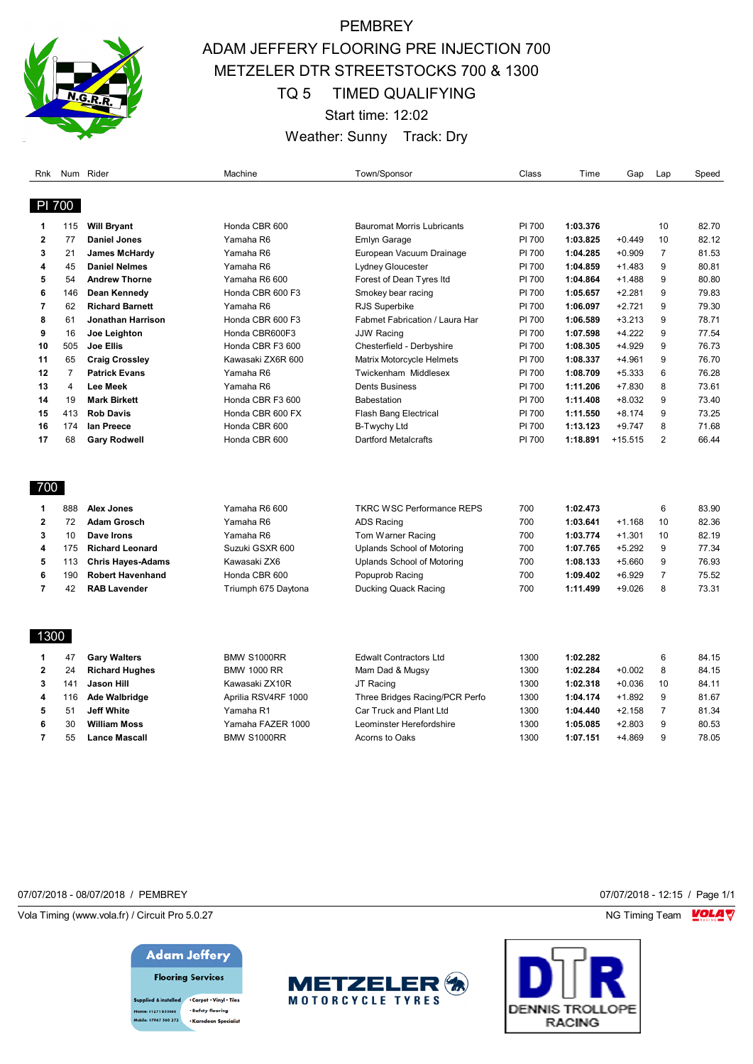

## **PEMBREY** ADAM JEFFERY FLOORING PRE INJECTION 700 METZELER DTR STREETSTOCKS 700 & 1300 TQ 5 TIMED QUALIFYING Start time: 12:02 Weather: Sunny Track: Dry

| Rnk          |                | Num Rider                | Machine             | Town/Sponsor                      | Class  | Time     | Gap       | Lap                  | Speed |
|--------------|----------------|--------------------------|---------------------|-----------------------------------|--------|----------|-----------|----------------------|-------|
|              |                |                          |                     |                                   |        |          |           |                      |       |
| PI 700       |                |                          |                     |                                   |        |          |           |                      |       |
| 1            | 115            | <b>Will Bryant</b>       | Honda CBR 600       | <b>Bauromat Morris Lubricants</b> | PI 700 | 1:03.376 |           | 10                   | 82.70 |
| $\mathbf{2}$ | 77             | <b>Daniel Jones</b>      | Yamaha R6           | Emlyn Garage                      | PI 700 | 1:03.825 | $+0.449$  | 10<br>$\overline{7}$ | 82.12 |
| 3            | 21             | <b>James McHardy</b>     | Yamaha R6           | European Vacuum Drainage          | PI 700 | 1:04.285 | $+0.909$  |                      | 81.53 |
| 4            | 45             | <b>Daniel Nelmes</b>     | Yamaha R6           | Lydney Gloucester                 | PI 700 | 1:04.859 | $+1.483$  | 9                    | 80.81 |
| 5            | 54             | <b>Andrew Thorne</b>     | Yamaha R6 600       | Forest of Dean Tyres Itd          | PI 700 | 1:04.864 | $+1.488$  | 9                    | 80.80 |
| 6            | 146            | Dean Kennedy             | Honda CBR 600 F3    | Smokey bear racing                | PI 700 | 1:05.657 | $+2.281$  | 9                    | 79.83 |
| 7            | 62             | <b>Richard Barnett</b>   | Yamaha R6           | RJS Superbike                     | PI 700 | 1:06.097 | $+2.721$  | 9                    | 79.30 |
| 8            | 61             | <b>Jonathan Harrison</b> | Honda CBR 600 F3    | Fabmet Fabrication / Laura Har    | PI 700 | 1:06.589 | $+3.213$  | 9                    | 78.71 |
| 9            | 16             | Joe Leighton             | Honda CBR600F3      | <b>JJW Racing</b>                 | PI 700 | 1:07.598 | $+4.222$  | 9                    | 77.54 |
| 10           | 505            | <b>Joe Ellis</b>         | Honda CBR F3 600    | Chesterfield - Derbyshire         | PI 700 | 1:08.305 | $+4.929$  | 9                    | 76.73 |
| 11           | 65             | <b>Craig Crossley</b>    | Kawasaki ZX6R 600   | Matrix Motorcycle Helmets         | PI 700 | 1:08.337 | $+4.961$  | 9                    | 76.70 |
| 12           | $\overline{7}$ | <b>Patrick Evans</b>     | Yamaha R6           | Twickenham Middlesex              | PI 700 | 1:08.709 | $+5.333$  | 6                    | 76.28 |
| 13           | $\overline{4}$ | <b>Lee Meek</b>          | Yamaha R6           | <b>Dents Business</b>             | PI 700 | 1:11.206 | $+7.830$  | 8                    | 73.61 |
| 14           | 19             | <b>Mark Birkett</b>      | Honda CBR F3 600    | Babestation                       | PI 700 | 1:11.408 | $+8.032$  | 9                    | 73.40 |
| 15           | 413            | <b>Rob Davis</b>         | Honda CBR 600 FX    | <b>Flash Bang Electrical</b>      | PI 700 | 1:11.550 | $+8.174$  | 9                    | 73.25 |
| 16           | 174            | lan Preece               | Honda CBR 600       | B-Twychy Ltd                      | PI 700 | 1:13.123 | +9.747    | 8                    | 71.68 |
| 17           | 68             | <b>Gary Rodwell</b>      | Honda CBR 600       | <b>Dartford Metalcrafts</b>       | PI 700 | 1:18.891 | $+15.515$ | $\overline{2}$       | 66.44 |
|              |                |                          |                     |                                   |        |          |           |                      |       |
|              |                |                          |                     |                                   |        |          |           |                      |       |
| 700          |                |                          |                     |                                   |        |          |           |                      |       |
| 1            | 888            | <b>Alex Jones</b>        | Yamaha R6 600       | <b>TKRC WSC Performance REPS</b>  | 700    | 1:02.473 |           | 6                    | 83.90 |
| 2            | 72             | <b>Adam Grosch</b>       | Yamaha R6           | <b>ADS Racing</b>                 | 700    | 1:03.641 | $+1.168$  | 10                   | 82.36 |
| 3            | 10             | Dave Irons               | Yamaha R6           | Tom Warner Racing                 | 700    | 1:03.774 | $+1.301$  | 10                   | 82.19 |
| 4            | 175            | <b>Richard Leonard</b>   | Suzuki GSXR 600     | Uplands School of Motoring        | 700    | 1:07.765 | $+5.292$  | 9                    | 77.34 |
| 5            | 113            | <b>Chris Hayes-Adams</b> | Kawasaki ZX6        | Uplands School of Motoring        | 700    | 1:08.133 | $+5.660$  | 9                    | 76.93 |
| 6            | 190            | <b>Robert Havenhand</b>  | Honda CBR 600       | Popuprob Racing                   | 700    | 1:09.402 | $+6.929$  | $\overline{7}$       | 75.52 |
| 7            | 42             | <b>RAB Lavender</b>      | Triumph 675 Daytona | Ducking Quack Racing              | 700    | 1:11.499 | $+9.026$  | 8                    | 73.31 |
|              |                |                          |                     |                                   |        |          |           |                      |       |
|              |                |                          |                     |                                   |        |          |           |                      |       |
| 1300         |                |                          |                     |                                   |        |          |           |                      |       |
| 1            | 47             | <b>Gary Walters</b>      | <b>BMW S1000RR</b>  | <b>Edwalt Contractors Ltd</b>     | 1300   | 1:02.282 |           | 6                    | 84.15 |
| 2            | 24             | <b>Richard Hughes</b>    | <b>BMW 1000 RR</b>  | Mam Dad & Mugsy                   | 1300   | 1:02.284 | $+0.002$  | 8                    | 84.15 |
| 3            | 141            | <b>Jason Hill</b>        | Kawasaki ZX10R      | JT Racing                         | 1300   | 1:02.318 | $+0.036$  | 10                   | 84.11 |
| 4            | 116            | <b>Ade Walbridge</b>     | Aprilia RSV4RF 1000 | Three Bridges Racing/PCR Perfo    | 1300   | 1:04.174 | $+1.892$  | 9                    | 81.67 |
| 5            | 51             | <b>Jeff White</b>        | Yamaha R1           | Car Truck and Plant Ltd           | 1300   | 1:04.440 | $+2.158$  | $\overline{7}$       | 81.34 |
| 6            | 30             | <b>William Moss</b>      | Yamaha FAZER 1000   | Leominster Herefordshire          | 1300   | 1:05.085 | $+2.803$  | 9                    | 80.53 |
| 7            | 55             | <b>Lance Mascall</b>     | <b>BMW S1000RR</b>  | Acorns to Oaks                    | 1300   | 1:07.151 | $+4.869$  | 9                    | 78.05 |

07/07/2018 - 08/07/2018 / PEMBREY 07/07/2018 - 12:15 / Page 1/1

Vola Timing (www.vola.fr) / Circuit Pro 5.0.27 **NG Timing Team MOLA View Area** NG Timing Team MOLA View Area NG Timing Team MOLA View Area NG Timing Team MOLA View Area NG Timing Team MOLA View Area NG Timing Team MOLA Vie





upplied & installed . Carpet . Vinyl . Tiles · Safety flooring 01271 855860 .<br>Ie: 07967 560 272 -<br>Karadean Specialis



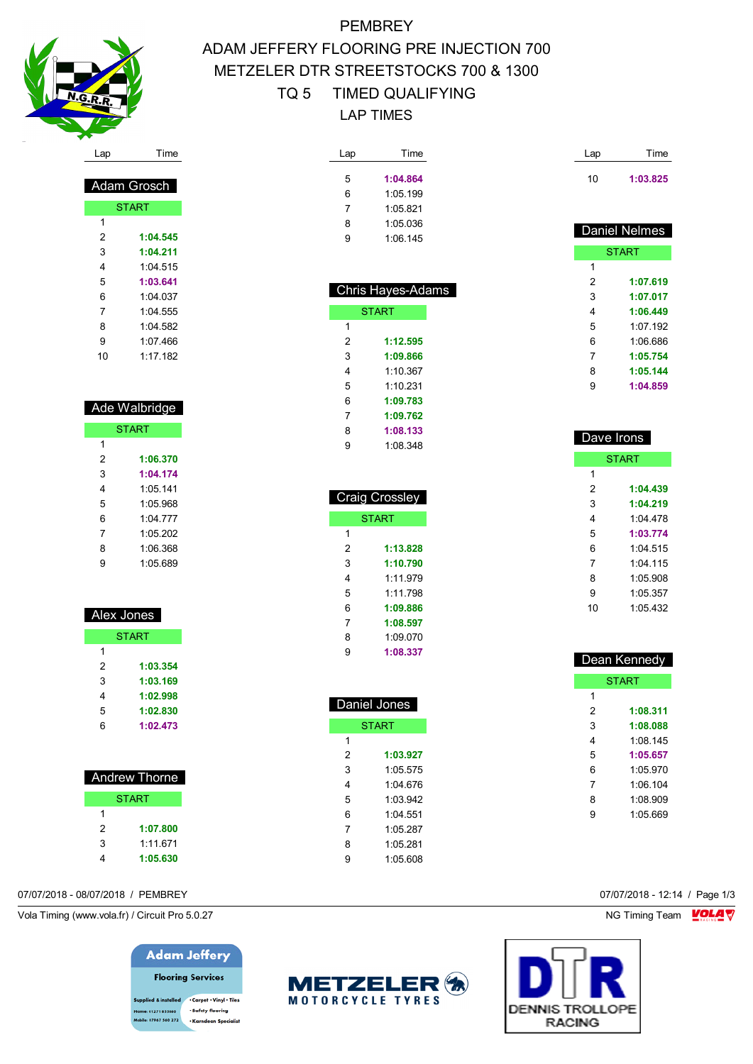

 Adam Grosch **START** 

 **1:04.545 1:04.211** 1:04.515 **1:03.641** 1:04.037 1:04.555 1:04.582 1:07.466 1:17.182

 Ade Walbridge **START** 

> **1:06.370 1:04.174** 1:05.141 1:05.968 1:04.777 1:05.202 1:06.368 1:05.689

 Alex Jones **START** 

> **1:03.354 1:03.169 1:02.998 1:02.830 1:02.473**

 Andrew Thorne **START** 

 **1:07.800** 1:11.671 **1:05.630**

## **PEMBREY** ADAM JEFFERY FLOORING PRE INJECTION 700 METZELER DTR STREETSTOCKS 700 & 1300 TQ 5 TIMED QUALIFYING LAP TIMES

| Lap | Time     |
|-----|----------|
| 5   | 1:04.864 |
| 6   | 1:05.199 |
| 7   | 1 05 821 |
| 8   | 1 05 036 |
| g   | 1:06.145 |

 Chris Hayes-Adams **START** 

 **1:12.595 1:09.866** 1:10.367 1:10.231 **1:09.783 1:09.762 1:08.133** 1:08.348

 Craig Crossley START

> **1:13.828 1:10.790** 1:11.979 1:11.798 **1:09.886 1:08.597** 1:09.070 **1:08.337**

 $\overline{1}$ 

|   | <b>Daniel Nelmes</b> |
|---|----------------------|
|   |                      |
|   | <b>START</b>         |
| 1 |                      |
| 2 | 1:07.619             |
| 3 | 1:07.017             |
| 4 | 1:06.449             |
| 5 | 1:07.192             |
| 6 | 1:06.686             |
| 7 | 1:05.754             |
| 8 | 1:05.144             |
| 9 | 1:04.859             |
|   |                      |

Lap Time

**1:03.825**

| Dave Irons |              |  |  |  |
|------------|--------------|--|--|--|
|            | <b>START</b> |  |  |  |
| 1          |              |  |  |  |
| 2          | 1:04.439     |  |  |  |
| 3          | 1:04.219     |  |  |  |
| 4          | 1.04478      |  |  |  |
| 5          | 1:03.774     |  |  |  |
| 6          | 1.04515      |  |  |  |
| 7          | $1.04$ 115   |  |  |  |
| 8          | 1.05.908     |  |  |  |
| 9          | 1:05.357     |  |  |  |
| 10         | 1.05432      |  |  |  |
|            |              |  |  |  |

| Dean Kennedy |              |  |  |  |
|--------------|--------------|--|--|--|
|              | <b>START</b> |  |  |  |
| 1            |              |  |  |  |
| 2            | 1:08.311     |  |  |  |
| 3            | 1:08.088     |  |  |  |
| 4            | 1:08 145     |  |  |  |
| 5            | 1:05.657     |  |  |  |
| 6            | 1.05970      |  |  |  |
| 7            | 1.06104      |  |  |  |
| 8            | 1:08.909     |  |  |  |
| 9            | 1.05669      |  |  |  |
|              |              |  |  |  |

| Daniel Jones |  |  |  |  |
|--------------|--|--|--|--|
| <b>START</b> |  |  |  |  |
|              |  |  |  |  |
|              |  |  |  |  |
|              |  |  |  |  |
|              |  |  |  |  |
|              |  |  |  |  |
|              |  |  |  |  |
|              |  |  |  |  |
|              |  |  |  |  |
|              |  |  |  |  |
|              |  |  |  |  |

07/07/2018 - 08/07/2018 / PEMBREY 07/07/2018 - 12:14 / Page 1/3

Vola Timing (www.vola.fr) / Circuit Pro 5.0.27 NG Timing Team NG Timing Team NG Timing Team NG Timing Team NG

**Adam Jeffery Flooring Services** 

. Carpet . Vinyl . Tiles · Safety flooring 01271 855860 **bile: 07967 560 272** - Karndean Specialis



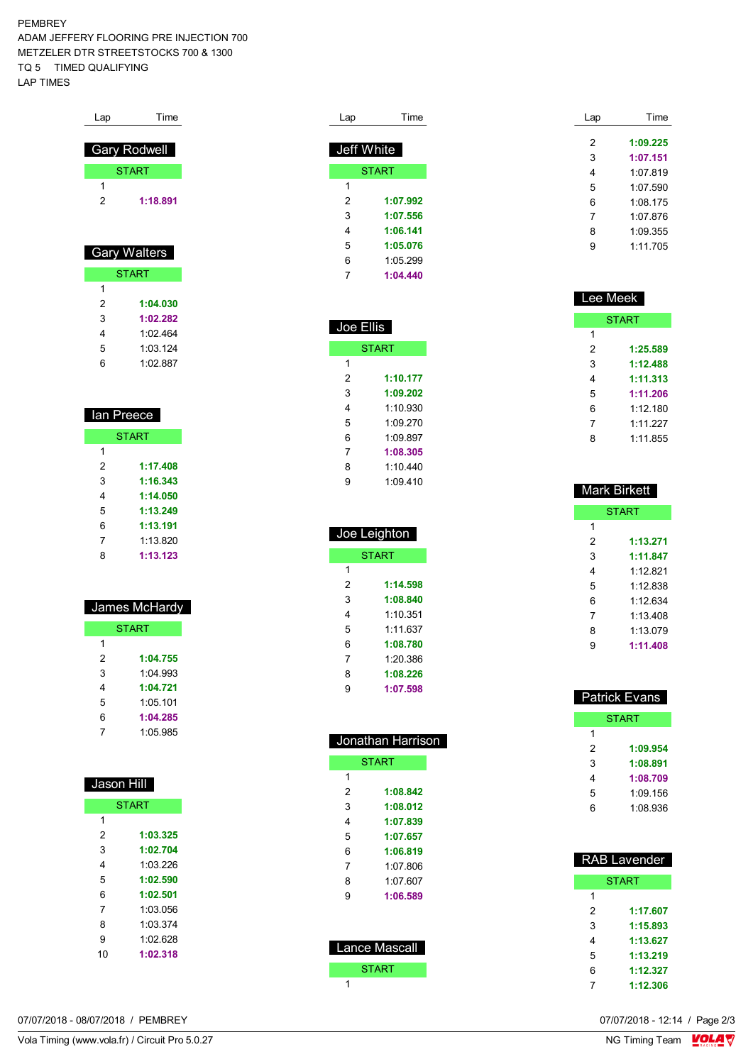PEMBREY ADAM JEFFERY FLOORING PRE INJECTION 700 METZELER DTR STREETSTOCKS 700 & 1300 TQ 5 TIMED QUALIFYING LAP TIMES

| Lap | Time                |
|-----|---------------------|
|     |                     |
|     | <b>Gary Rodwell</b> |
|     | <b>START</b>        |
| 1   |                     |
| 2   | 1:18.891            |
|     |                     |
|     |                     |
|     | <b>Gary Walters</b> |
|     | <b>START</b>        |
| 1   |                     |
|     |                     |

| 2  | 1:04.030 |
|----|----------|
| 3  | 1:02.282 |
| 4  | 1.02 464 |
| 5  | 1:03.124 |
| ิค | 1:02.887 |

| lan Preece   |          |  |  |  |
|--------------|----------|--|--|--|
| <b>START</b> |          |  |  |  |
| 1            |          |  |  |  |
| 2            | 1:17.408 |  |  |  |
| 3            | 1:16.343 |  |  |  |
| 4            | 1:14.050 |  |  |  |
| 5            | 1:13.249 |  |  |  |
| 6            | 1:13.191 |  |  |  |
| 7            | 1.13820  |  |  |  |
| ጸ            | 1:13.123 |  |  |  |
|              |          |  |  |  |

| James McHardy |          |  |  |  |
|---------------|----------|--|--|--|
| <b>START</b>  |          |  |  |  |
| 1             |          |  |  |  |
| 2             | 1:04.755 |  |  |  |
| 3             | 1.04.993 |  |  |  |
| 4             | 1:04.721 |  |  |  |
| 5             | 1:05 101 |  |  |  |
| 6             | 1:04.285 |  |  |  |
|               | 1:05.985 |  |  |  |

| Jason Hill   |          |  |  |  |
|--------------|----------|--|--|--|
| <b>START</b> |          |  |  |  |
| 1            |          |  |  |  |
| 2            | 1:03.325 |  |  |  |
| 3            | 1:02.704 |  |  |  |
| 4            | 1:03 226 |  |  |  |
| 5            | 1:02.590 |  |  |  |
| 6            | 1:02.501 |  |  |  |
| 7            | 1:03.056 |  |  |  |
| 8            | 1.03.374 |  |  |  |
| 9            |          |  |  |  |
| 10           | 1:02.318 |  |  |  |
|              |          |  |  |  |

| Lap        | Time         |
|------------|--------------|
|            |              |
| Jeff White |              |
|            | <b>START</b> |
| 1          |              |
| 2          | 1:07.992     |
| 3          | 1:07.556     |
| 4          | 1:06.141     |
| 5          | 1:05.076     |
| 6          | 1:05 299     |
| 7          | 1:04.440     |

| Joe Ellis |              |
|-----------|--------------|
|           | <b>START</b> |
| 1         |              |
| 2         | 1:10.177     |
| 3         | 1:09.202     |
| 4         | 1.10930      |
| 5         | 1:09.270     |
| 6         | 1.09897      |
| 7         | 1:08.305     |
| 8         | 1:10.440     |
| 9         | 1:09.410     |

| Joe Leighton |          |
|--------------|----------|
| <b>START</b> |          |
| 1            |          |
| 2            | 1:14.598 |
| 3            | 1:08.840 |
| 4            | 1.10.351 |
| 5            | 1.11637  |
| 6            | 1:08.780 |
| 7            | 1:20.386 |
| 8            | 1:08.226 |
| 9            | 1:07.598 |

| Jonathan Harrison    |              |
|----------------------|--------------|
|                      | <b>START</b> |
| 1                    |              |
| 2                    | 1:08.842     |
| 3                    | 1:08.012     |
| 4                    | 1:07.839     |
| 5                    | 1:07.657     |
| 6                    | 1:06.819     |
| 7                    | 1:07.806     |
| 8                    | 1:07.607     |
| 9                    | 1:06.589     |
|                      |              |
|                      |              |
| <b>Lance Mascall</b> |              |
|                      |              |
|                      | <b>START</b> |
| 1                    |              |

| Lap | Time     |
|-----|----------|
|     | 1:09.225 |
| 2   |          |
| 3   | 1:07.151 |
| 4   | 1.07819  |
| 5   | 1:07.590 |
| 6   | 1:08.175 |
| 7   | 1.07876  |
| 8   | 1.09.355 |
| 9   | 1.11705  |
|     |          |

| Lee Meek |              |
|----------|--------------|
|          | <b>START</b> |
| 1        |              |
| 2        | 1:25.589     |
| 3        | 1:12.488     |
| 4        | 1:11.313     |
| 5        | 1:11.206     |
| 6        | 1:12 180     |
| 7        | 1:11.227     |
| 8        | 1:11.855     |

| <b>Mark Birkett</b> |          |
|---------------------|----------|
| <b>START</b>        |          |
| 1                   |          |
| 2                   | 1:13.271 |
| 3                   | 1:11.847 |
| 4                   | 1.12821  |
| 5                   | 1:12 838 |
| 6                   | 1.12634  |
| 7                   | 1.13408  |
| 8                   | 1:13.079 |
| g                   | 1:11.408 |

| <b>Patrick Evans</b> |              |
|----------------------|--------------|
|                      | <b>START</b> |
| 1                    |              |
| 2                    | 1:09.954     |
| 3                    | 1:08.891     |
| 4                    | 1:08.709     |
| 5                    | 1:09.156     |
| հ                    | 1:08.936     |

| <b>RAB Lavender</b> |              |
|---------------------|--------------|
|                     | <b>START</b> |
| 1                   |              |
| 2                   | 1:17.607     |
| 3                   | 1:15.893     |
| 4                   | 1:13.627     |
| 5                   | 1:13.219     |
| 6                   | 1:12.327     |
|                     | 1:12.306     |

Vola Timing (www.vola.fr) / Circuit Pro 5.0.27

07/07/2018 - 08/07/2018 / PEMBREY

07/07/2018 - 12:14 / Page 2/3<br>NG Timing Team  $\frac{\text{VOLA}}{\text{V}}$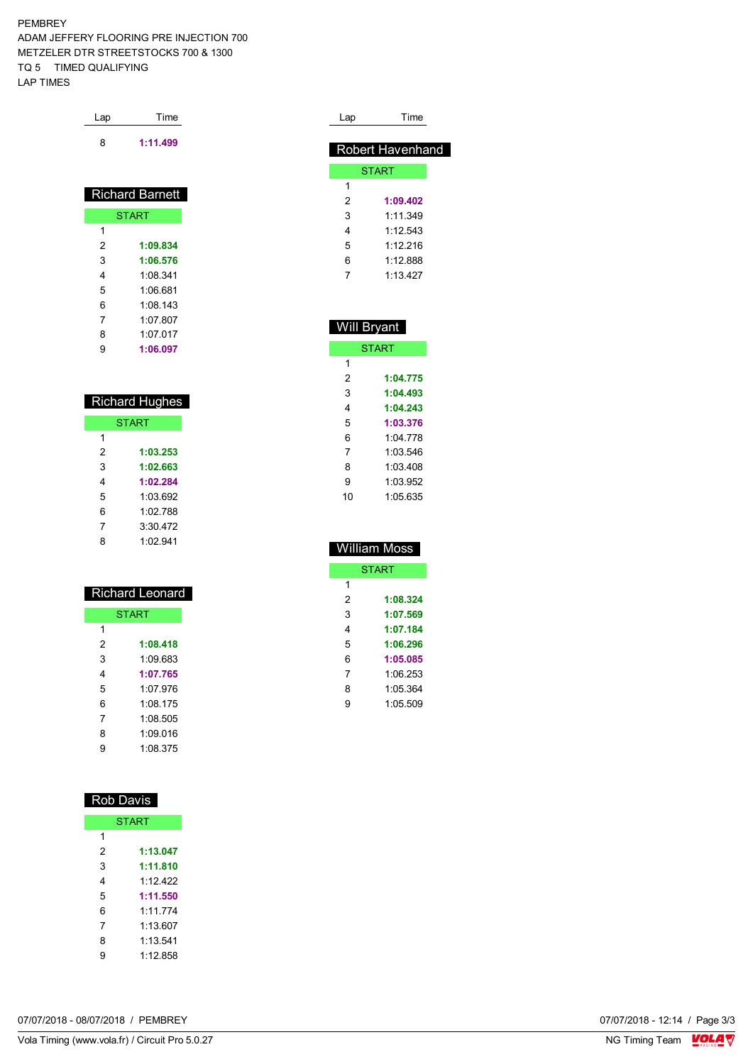PEMBREY ADAM JEFFERY FLOORING PRE INJECTION 700 METZELER DTR STREETSTOCKS 700 & 1300 TQ 5 TIMED QUALIFYING LAP TIMES

| Time     |
|----------|
| 1:11.499 |
|          |

| <b>Richard Barnett</b> |              |
|------------------------|--------------|
|                        | <b>START</b> |
| 1                      |              |
| 2                      | 1:09.834     |
| 3                      | 1:06.576     |
| 4                      | 1:08.341     |
| 5                      | 1:06.681     |
| 6                      | 1:08.143     |
| 7                      | 1.07 807     |
| 8                      | 1.07 017     |
| 9                      | 1:06.097     |

| <b>Richard Hughes</b> |          |
|-----------------------|----------|
| <b>START</b>          |          |
| 1                     |          |
| 2                     | 1:03.253 |
| 3                     | 1:02.663 |
| 4                     | 1:02.284 |
| 5                     | 1:03.692 |
| 6                     | 1.02 788 |
| 7                     | 3:30,472 |
| 8                     | 1.02941  |

| Richard Leonard |              |  |
|-----------------|--------------|--|
|                 | <b>START</b> |  |
| 1               |              |  |
| 2               | 1:08.418     |  |
| 3               | 1:09 683     |  |
| 4               | 1:07.765     |  |
| 5               | 1:07.976     |  |
| 6               | 1:08 175     |  |
| 7               | 1.08.505     |  |
| 8               | 1.09016      |  |
| g               | 1:08.375     |  |

| <u>Rob Davis</u> |          |  |  |
|------------------|----------|--|--|
| <b>START</b>     |          |  |  |
| 1                |          |  |  |
| 2                | 1:13.047 |  |  |
| 3                | 1:11.810 |  |  |
| 4                | 1.12422  |  |  |
| 5                | 1:11.550 |  |  |
| 6                | 1.11774  |  |  |
| 7                | 1.13607  |  |  |
| 8                | 1 13 541 |  |  |
| 9                | 1:12 858 |  |  |

| Lap | Time             |
|-----|------------------|
|     |                  |
|     | Robert Havenhand |
|     | <b>START</b>     |
| 1   |                  |
| 2   | 1:09.402         |
| 3   | 1.11.349         |
| 4   | 1.12543          |
| 5   | 1.12216          |
| 6   | 1.12888          |
|     | 1 13 427         |

| <b>Will Bryant</b> |              |  |  |
|--------------------|--------------|--|--|
|                    | <b>START</b> |  |  |
| 1                  |              |  |  |
| 2                  | 1:04.775     |  |  |
| 3                  | 1:04.493     |  |  |
| 4                  | 1:04.243     |  |  |
| 5                  | 1:03.376     |  |  |
| 6                  | 1:04 778     |  |  |
| 7                  | 1:03.546     |  |  |
| 8                  | 1:03 408     |  |  |
| 9                  | 1.03952      |  |  |
| 10                 | 1:05.635     |  |  |

| <b>William Moss</b> |              |  |  |
|---------------------|--------------|--|--|
|                     | <b>START</b> |  |  |
| 1                   |              |  |  |
| 2                   | 1:08.324     |  |  |
| 3                   | 1:07.569     |  |  |
| 4                   | 1:07.184     |  |  |
| 5                   | 1:06.296     |  |  |
| 6                   | 1:05.085     |  |  |
| 7                   | 1.06253      |  |  |
| 8                   | 1:05.364     |  |  |
| 9                   | 1:05.509     |  |  |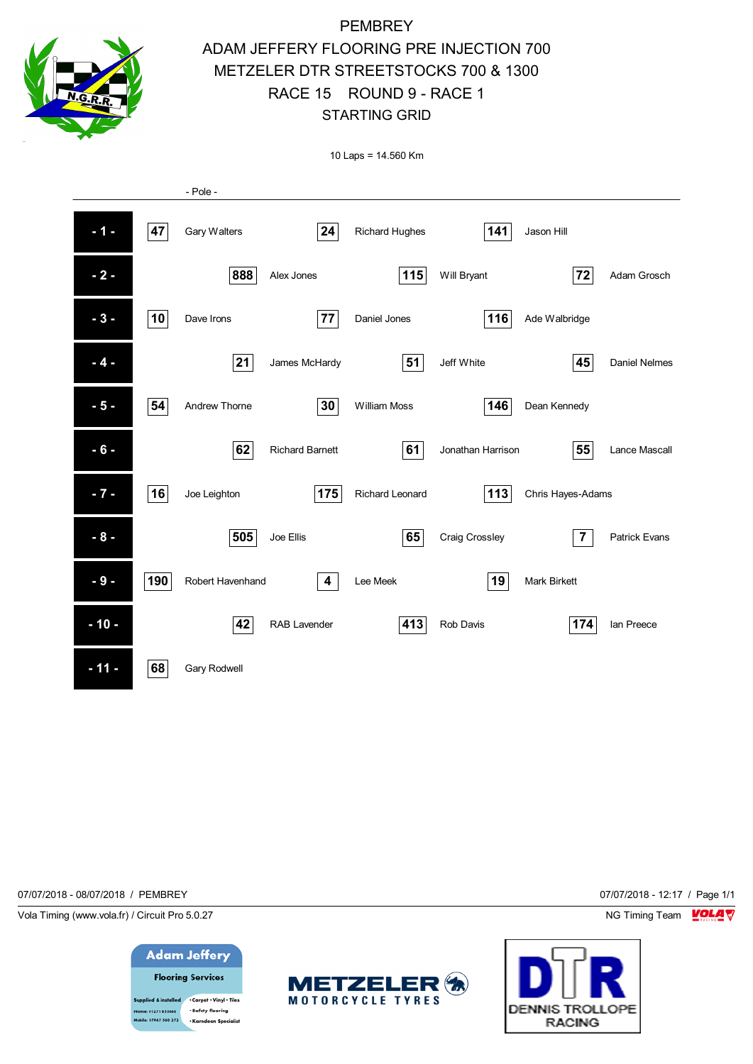

# **PEMBREY** ADAM JEFFERY FLOORING PRE INJECTION 700 METZELER DTR STREETSTOCKS 700 & 1300 RACE 15 ROUND 9 - RACE 1 STARTING GRID

10 Laps = 14.560 Km

|        |     | - Pole -            |                         |                       |                   |                     |                      |
|--------|-----|---------------------|-------------------------|-----------------------|-------------------|---------------------|----------------------|
| $-1 -$ | 47  | Gary Walters        | 24                      | <b>Richard Hughes</b> | 141               | Jason Hill          |                      |
| $-2-$  |     | 888                 | Alex Jones              | 115                   | Will Bryant       | 72                  | Adam Grosch          |
| $-3-$  | 10  | Dave Irons          | 77                      | Daniel Jones          | 116               | Ade Walbridge       |                      |
| $-4-$  |     | 21                  | James McHardy           | 51                    | Jeff White        | 45                  | <b>Daniel Nelmes</b> |
| $-5-$  | 54  | Andrew Thorne       | 30                      | William Moss          | 146               | Dean Kennedy        |                      |
| $-6-$  |     | 62                  | <b>Richard Barnett</b>  | 61                    | Jonathan Harrison | 55                  | Lance Mascall        |
| $-7-$  | 16  | Joe Leighton        | 175                     | Richard Leonard       | 113               | Chris Hayes-Adams   |                      |
| $-8-$  |     | 505                 | Joe Ellis               | 65                    | Craig Crossley    | $\overline{7}$      | <b>Patrick Evans</b> |
| $-9-$  | 190 | Robert Havenhand    | $\overline{\mathbf{4}}$ | Lee Meek              | 19                | <b>Mark Birkett</b> |                      |
| $-10-$ |     | 42                  | RAB Lavender            | 413                   | Rob Davis         | 174                 | Ian Preece           |
| $-11-$ | 68  | <b>Gary Rodwell</b> |                         |                       |                   |                     |                      |

07/07/2018 - 08/07/2018 / PEMBREY 07/07/2018 - 12:17 / Page 1/1

Vola Timing (www.vola.fr) / Circuit Pro 5.0.27 **NG Timing Team Monet Constructs of the Structs of Timing Team Monet Constructs** 



· Safety flooring 01271 855860 .<br>Ie: 07967 560 272 -<br>Karadean Specialis



**DENNIS TROLLOPE RACING**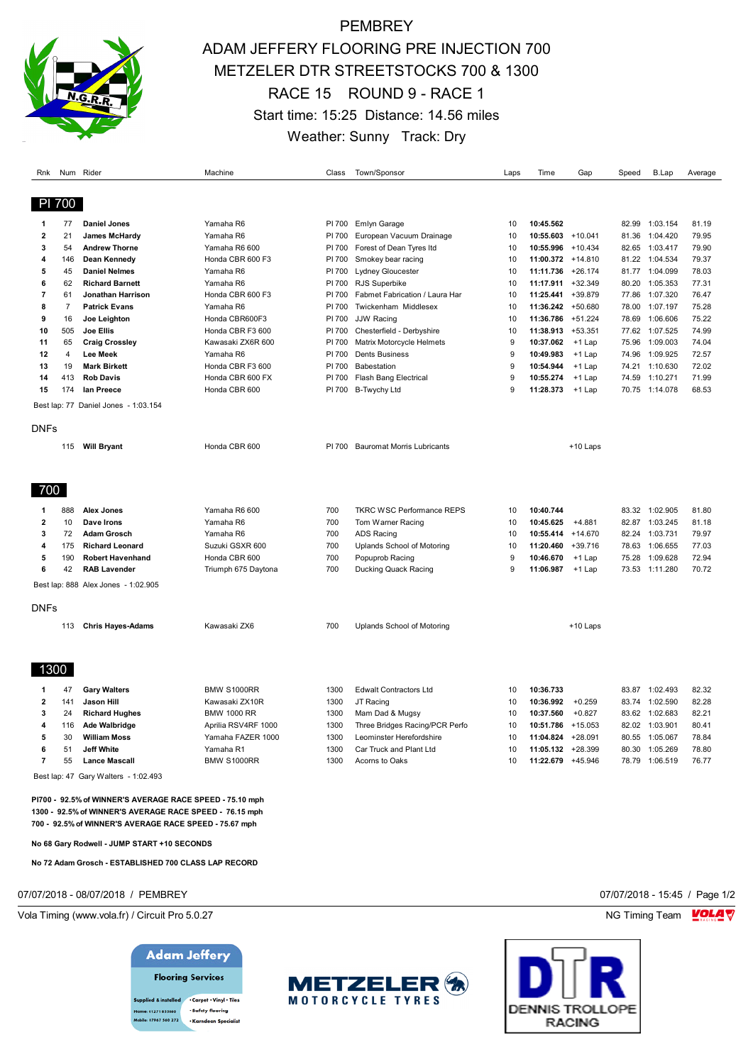

## **PEMBREY** ADAM JEFFERY FLOORING PRE INJECTION 700 METZELER DTR STREETSTOCKS 700 & 1300 RACE 15 ROUND 9 - RACE 1 Start time: 15:25 Distance: 14.56 miles Weather: Sunny Track: Dry

| Rnk                     |                | Num Rider                            | Machine             | Class  | Town/Sponsor                      | Laps         | Time                 | Gap       | Speed | B.Lap          | Average |
|-------------------------|----------------|--------------------------------------|---------------------|--------|-----------------------------------|--------------|----------------------|-----------|-------|----------------|---------|
|                         | PI 700         |                                      |                     |        |                                   |              |                      |           |       |                |         |
| 1                       | 77             | <b>Daniel Jones</b>                  | Yamaha R6           | PI 700 | <b>Emlyn Garage</b>               | 10           | 10:45.562            |           | 82.99 | 1:03.154       | 81.19   |
| $\overline{2}$          | 21             | James McHardy                        | Yamaha R6           | PI 700 | European Vacuum Drainage          | 10           | $10:55.603 + 10.041$ |           | 81.36 | 1:04.420       | 79.95   |
| 3                       | 54             | <b>Andrew Thorne</b>                 | Yamaha R6 600       | PI 700 | Forest of Dean Tyres Itd          | 10           | 10:55.996            | $+10.434$ | 82.65 | 1:03.417       | 79.90   |
| 4                       | 146            | <b>Dean Kennedy</b>                  | Honda CBR 600 F3    | PI 700 | Smokey bear racing                | 10           | 11:00.372 +14.810    |           |       | 81.22 1:04.534 | 79.37   |
| 5                       | 45             | <b>Daniel Nelmes</b>                 | Yamaha R6           | PI 700 | Lydney Gloucester                 | 10           | 11:11.736            | $+26.174$ |       | 81.77 1:04.099 | 78.03   |
| 6                       | 62             | <b>Richard Barnett</b>               | Yamaha R6           | PI 700 | RJS Superbike                     | 10           | 11:17.911            | $+32.349$ | 80.20 | 1:05.353       | 77.31   |
| 7                       | 61             | <b>Jonathan Harrison</b>             | Honda CBR 600 F3    | PI 700 | Fabmet Fabrication / Laura Har    | 10           | 11:25.441            | +39.879   | 77.86 | 1:07.320       | 76.47   |
| 8                       | $\overline{7}$ | <b>Patrick Evans</b>                 | Yamaha R6           | PI 700 | Twickenham Middlesex              | 10           | 11:36.242            | +50.680   | 78.00 | 1:07.197       | 75.28   |
| 9                       | 16             | Joe Leighton                         | Honda CBR600F3      | PI 700 | <b>JJW Racing</b>                 | 10           | 11:36.786            | $+51.224$ | 78.69 | 1:06.606       | 75.22   |
| 10                      | 505            | Joe Ellis                            | Honda CBR F3 600    | PI 700 | Chesterfield - Derbyshire         | 10           | 11:38.913            | $+53.351$ |       | 77.62 1:07.525 | 74.99   |
| 11                      | 65             | <b>Craig Crossley</b>                | Kawasaki ZX6R 600   | PI 700 | Matrix Motorcycle Helmets         | 9            | 10:37.062            | $+1$ Lap  | 75.96 | 1:09.003       | 74.04   |
| 12                      | $\overline{4}$ | <b>Lee Meek</b>                      | Yamaha R6           | PI 700 | <b>Dents Business</b>             | 9            | 10:49.983            | +1 Lap    | 74.96 | 1:09.925       | 72.57   |
| 13                      | 19             | <b>Mark Birkett</b>                  | Honda CBR F3 600    | PI 700 | Babestation                       | 9            | 10:54.944            | +1 Lap    | 74.21 | 1:10.630       | 72.02   |
| 14                      | 413            | <b>Rob Davis</b>                     | Honda CBR 600 FX    | PI 700 | <b>Flash Bang Electrical</b>      | 9            | 10:55.274            | $+1$ Lap  | 74.59 | 1:10.271       | 71.99   |
| 15                      | 174            | lan Preece                           | Honda CBR 600       | PI 700 | <b>B-Twychy Ltd</b>               | 9            | 11:28.373            | $+1$ Lap  | 70.75 | 1:14.078       | 68.53   |
|                         |                |                                      |                     |        |                                   |              |                      |           |       |                |         |
|                         |                | Best lap: 77 Daniel Jones - 1:03.154 |                     |        |                                   |              |                      |           |       |                |         |
| <b>DNFs</b>             |                |                                      |                     |        |                                   |              |                      |           |       |                |         |
|                         |                |                                      | Honda CBR 600       | PI 700 | <b>Bauromat Morris Lubricants</b> |              |                      |           |       |                |         |
|                         | 115            | <b>Will Bryant</b>                   |                     |        |                                   |              |                      | +10 Laps  |       |                |         |
|                         |                |                                      |                     |        |                                   |              |                      |           |       |                |         |
| 700                     |                |                                      |                     |        |                                   |              |                      |           |       |                |         |
| 1                       | 888            | <b>Alex Jones</b>                    | Yamaha R6 600       | 700    | <b>TKRC WSC Performance REPS</b>  | 10           | 10:40.744            |           |       | 83.32 1:02.905 | 81.80   |
| 2                       | 10             | Dave Irons                           | Yamaha R6           | 700    | Tom Warner Racing                 | 10           | 10:45.625            | $+4.881$  | 82.87 | 1:03.245       | 81.18   |
| 3                       | 72             | <b>Adam Grosch</b>                   | Yamaha R6           | 700    | ADS Racing                        | 10           | 10:55.414            | $+14.670$ |       | 82.24 1:03.731 | 79.97   |
| 4                       | 175            | <b>Richard Leonard</b>               | Suzuki GSXR 600     | 700    | Uplands School of Motoring        | 10           | 11:20.460            | $+39.716$ | 78.63 | 1:06.655       | 77.03   |
| 5                       | 190            | <b>Robert Havenhand</b>              | Honda CBR 600       | 700    | Popuprob Racing                   | 9            | 10:46.670            | $+1$ Lap  | 75.28 | 1:09.628       | 72.94   |
| 6                       | 42             | <b>RAB Lavender</b>                  | Triumph 675 Daytona | 700    | Ducking Quack Racing              | $\mathbf{Q}$ | 11:06.987            | +1 Lap    |       | 73.53 1:11.280 | 70.72   |
|                         |                | Best lap: 888 Alex Jones - 1:02.905  |                     |        |                                   |              |                      |           |       |                |         |
|                         |                |                                      |                     |        |                                   |              |                      |           |       |                |         |
| DNFs                    |                |                                      |                     |        |                                   |              |                      |           |       |                |         |
|                         | 113            | <b>Chris Hayes-Adams</b>             | Kawasaki ZX6        | 700    | Uplands School of Motoring        |              |                      | +10 Laps  |       |                |         |
|                         |                |                                      |                     |        |                                   |              |                      |           |       |                |         |
| 1300                    |                |                                      |                     |        |                                   |              |                      |           |       |                |         |
|                         |                |                                      |                     |        |                                   |              |                      |           |       |                |         |
| 1                       | 47             | <b>Gary Walters</b>                  | <b>BMW S1000RR</b>  | 1300   | <b>Edwalt Contractors Ltd</b>     | 10           | 10:36.733            |           |       | 83.87 1:02.493 | 82.32   |
| $\overline{\mathbf{c}}$ | 141            | <b>Jason Hill</b>                    | Kawasaki ZX10R      | 1300   | JT Racing                         | 10           | 10:36.992            | $+0.259$  | 83.74 | 1:02.590       | 82.28   |
| 3                       | 24             | <b>Richard Hughes</b>                | <b>BMW 1000 RR</b>  | 1300   | Mam Dad & Mugsy                   | 10           | 10:37.560            | $+0.827$  | 83.62 | 1:02.683       | 82.21   |
| 4                       | 116            | <b>Ade Walbridge</b>                 | Aprilia RSV4RF 1000 | 1300   | Three Bridges Racing/PCR Perfo    | 10           | 10:51.786            | $+15.053$ |       | 82.02 1:03.901 | 80.41   |
| 5                       | 30             | <b>William Moss</b>                  | Yamaha FAZER 1000   | 1300   | Leominster Herefordshire          | 10           | 11:04.824            | $+28.091$ | 80.55 | 1:05.067       | 78.84   |
| 6                       | 51             | <b>Jeff White</b>                    | Yamaha R1           | 1300   | Car Truck and Plant Ltd           | 10           | $11:05.132 +28.399$  |           | 80.30 | 1:05.269       | 78.80   |
| 7                       | 55             | <b>Lance Mascall</b>                 | <b>BMW S1000RR</b>  | 1300   | Acorns to Oaks                    | 10           | 11:22.679            | $+45.946$ | 78.79 | 1:06.519       | 76.77   |

Best lap: 47 Gary Walters - 1:02.493

**PI700 - 92.5% of WINNER'S AVERAGE RACE SPEED - 75.10 mph 1300 - 92.5% of WINNER'S AVERAGE RACE SPEED - 76.15 mph 700 - 92.5% of WINNER'S AVERAGE RACE SPEED - 75.67 mph**

**No 68 Gary Rodwell - JUMP START +10 SECONDS**

**No 72 Adam Grosch - ESTABLISHED 700 CLASS LAP RECORD**

07/07/2018 - 08/07/2018 / PEMBREY 07/07/2018 - 15:45 / Page 1/2

Vola Timing (www.vola.fr) / Circuit Pro 5.0.27 NG Timing Team NG Timing Team NG Timing Team NG Timing Team NG

## **Adam Jeffery**



upplied & installed . Carpet . Vinyl . Tiles · Safety flooring 01271 855860 **Ie: 07967 560 272** · Karndean Specialist



DENNIS TROLLOPE **RACING** 

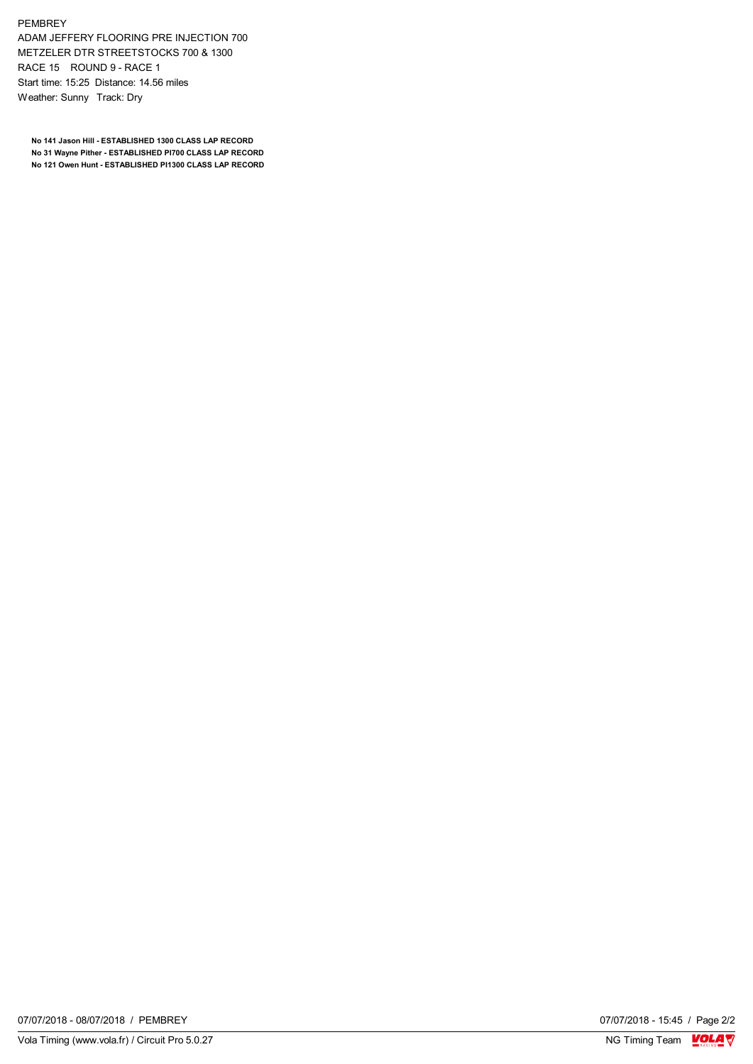PEMBREY

ADAM JEFFERY FLOORING PRE INJECTION 700 METZELER DTR STREETSTOCKS 700 & 1300 RACE 15 ROUND 9 - RACE 1 Start time: 15:25 Distance: 14.56 miles Weather: Sunny Track: Dry

**No 141 Jason Hill - ESTABLISHED 1300 CLASS LAP RECORD No 31 Wayne Pither - ESTABLISHED PI700 CLASS LAP RECORD No 121 Owen Hunt - ESTABLISHED PI1300 CLASS LAP RECORD**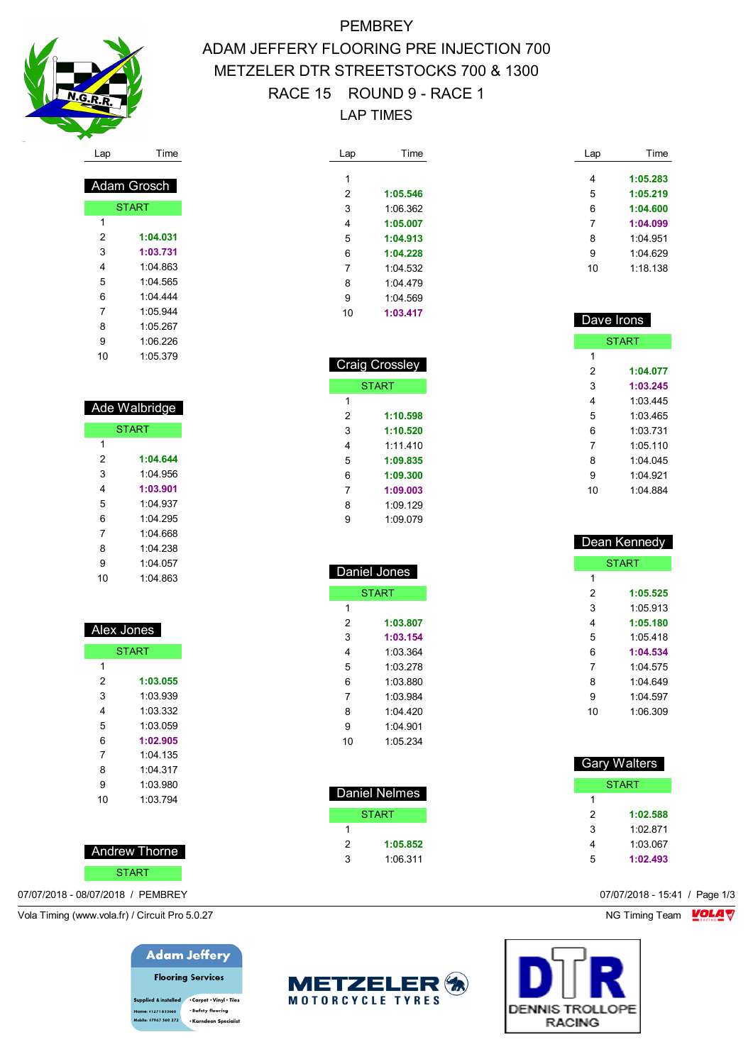

 Adam Grosch **START** 

 **1:04.031 1:03.731** 1:04.863 1:04.565 1:04.444 1:05.944 1:05.267 1:06.226 1:05.379

# **PEMBREY** ADAM JEFFERY FLOORING PRE INJECTION 700 METZELER DTR STREETSTOCKS 700 & 1300 RACE 15 ROUND 9 - RACE 1 LAP TIMES

| Lap | Time     |
|-----|----------|
|     |          |
| 1   |          |
| 2   | 1:05.546 |
| 3   | 1:06.362 |
| 4   | 1:05.007 |
| 5   | 1:04.913 |
| 6   | 1:04.228 |
| 7   | 1.04532  |
| 8   | 1 04 479 |
| 9   | 1:04 569 |
| 10  | 1:03.417 |
|     |          |

 Craig Crossley START

> **1:10.598 1:10.520** 1:11.410 **1:09.835 1:09.300 1:09.003** 1:09.129 1:09.079

 Daniel Jones **START** 

> **1:03.807 1:03.154** 1:03.364 1:03.278 1:03.880 1:03.984 1:04.420 1:04.901 1:05.234

 Daniel Nelmes **START** 

 **1:05.852** 1:06.311

 $\overline{1}$ 

| Lap | Time     |
|-----|----------|
|     |          |
| 4   | 1:05.283 |
| 5   | 1:05.219 |
| 6   | 1:04.600 |
| 7   | 1:04.099 |
| 8   | 1:04 951 |
| 9   | 1:04.629 |
| 10  | 1:18.138 |
|     |          |

| Dave Irons |              |
|------------|--------------|
|            | <b>START</b> |
| 1          |              |
| 2          | 1:04.077     |
| 3          | 1:03.245     |
| 4          | 1:03.445     |
| 5          | 1.03465      |
| 6          | 1:03.731     |
| 7          | 1.05110      |
| 8          | 1:04.045     |
| 9          | 1:04.921     |
| 10         | 1:04 884     |
|            |              |

| Dean Kennedy |              |  |
|--------------|--------------|--|
|              | <b>START</b> |  |
| 1            |              |  |
| 2            | 1:05.525     |  |
| 3            | 1:05.913     |  |
| 4            | 1:05.180     |  |
| 5            | 1.05418      |  |
| 6            | 1:04.534     |  |
| 7            | 1.04575      |  |
| 8            | 1.04649      |  |
| 9            | 1.04597      |  |
| 10           | 1:06.309     |  |

| <b>Gary Walters</b> |          |  |  |
|---------------------|----------|--|--|
| START               |          |  |  |
| 1                   |          |  |  |
| 2                   | 1:02.588 |  |  |
| 3                   | 1:02 871 |  |  |
| 4                   | 1:03:067 |  |  |
| 5                   | 1:02.493 |  |  |

| Ade Walbridge |              |  |
|---------------|--------------|--|
|               | <b>START</b> |  |
| 1             |              |  |
| 2             | 1:04.644     |  |
| 3             | 1:04.956     |  |
| 4             | 1:03.901     |  |
| 5             | 1:04.937     |  |
| 6             | 1:04.295     |  |
| ⇁             | 1.0100       |  |

| 7  | 1:04 668 |  |
|----|----------|--|
| 8  | 1:04 238 |  |
| 9  | 1:04.057 |  |
| 10 | 1:04 863 |  |
|    |          |  |

| Alex Jones   |            |  |  |
|--------------|------------|--|--|
| <b>START</b> |            |  |  |
| 1            |            |  |  |
| 2            | 1:03.055   |  |  |
| 3            | 1:03.939   |  |  |
| 4            | 1:03.332   |  |  |
| 5            | 1:03.059   |  |  |
| 6            | 1:02.905   |  |  |
| 7            | $1.04$ 135 |  |  |
| 8            | 1.04.317   |  |  |
| 9            | 1:03.980   |  |  |
| 10           | 1:03.794   |  |  |
|              |            |  |  |

### Andrew Thorne

#### START

07/07/2018 - 08/07/2018 / PEMBREY 07/07/2018 - 15:41 / Page 1/3

Vola Timing (www.vola.fr) / Circuit Pro 5.0.27 NG Timing Team NG Timing Team NG Timing Team NG Timing Team NG

## **Adam Jeffery**

**Flooring Services** upplied & installed . Carpet . Vinyl . Tiles · Safety flooring 01271 855860 .<br>ile: 07967 560 272 - Karndean Specialis



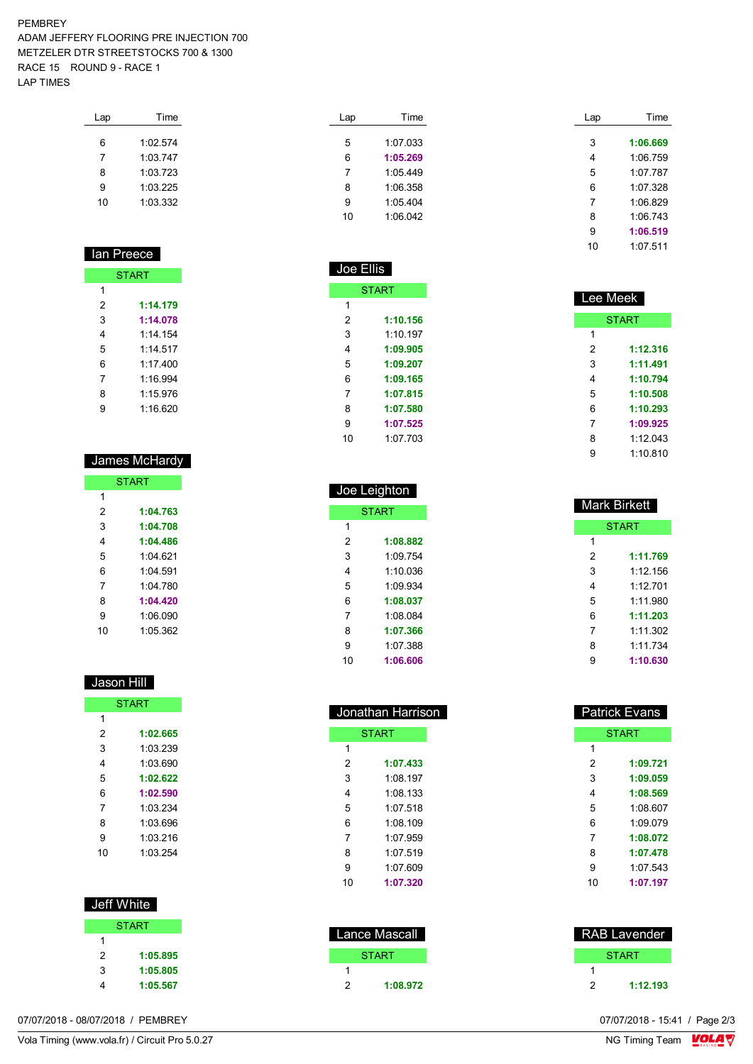#### PEMBREY ADAM JEFFERY FLOORING PRE INJECTION 700 METZELER DTR STREETSTOCKS 700 & 1300 RACE 15 ROUND 9 - RACE 1 LAP TIMES

| Lap | Time     |
|-----|----------|
|     |          |
| 6   | 1.02574  |
| 7   | 1.03747  |
| 8   | 1:03.723 |
| 9   | 1:03.225 |
| 10  | 1:03.332 |
|     |          |

| lan Pree <u>ce</u> |          |  |  |
|--------------------|----------|--|--|
| <b>START</b>       |          |  |  |
| 1                  |          |  |  |
| 2                  | 1:14.179 |  |  |
| 3                  | 1:14.078 |  |  |
| 4                  | 1.14 154 |  |  |
| 5                  | 1.14517  |  |  |
| 6                  | 1.17400  |  |  |
| 7                  | 1:16.994 |  |  |
| 8                  | 1.15976  |  |  |
| 9                  | 1:16.620 |  |  |

## James McHardy **START**

| 1  |          |
|----|----------|
| 2  | 1:04.763 |
| 3  | 1:04.708 |
| 4  | 1:04.486 |
| 5  | 1.04621  |
| 6  | 1.04591  |
| 7  | 1:04 780 |
| ጸ  | 1:04.420 |
| 9  | 1:06.090 |
| 10 | 1:05.362 |

### Jason Hill

| <b>START</b> |          |  |
|--------------|----------|--|
| 1            |          |  |
| 2            | 1:02.665 |  |
| 3            | 1:03.239 |  |
| 4            | 1:03.690 |  |
| 5            | 1:02.622 |  |
| 6            | 1:02.590 |  |
| 7            | 1:03.234 |  |
| 8            | 1:03.696 |  |
| 9            | 1:03.216 |  |
| 10           | 1:03.254 |  |

| Jeff White |              |
|------------|--------------|
|            | <b>START</b> |
| 1          |              |
| 2          | 1:05.895     |
| 3          | 1:05.805     |
|            | 1:05.567     |

| Lap | Time     |
|-----|----------|
| 5   | 1:07.033 |
| 6   | 1:05.269 |
| 7   | 1:05.449 |
| 8   | 1:06 358 |
| 9   | 1:05.404 |
| 10  | 1:06.042 |
|     |          |

Joe Ellis

**START** 

 **1:10.156** 1:10.197 **1:09.905 1:09.207 1:09.165 1:07.815 1:07.580 1:07.525** 1:07.703

| Lap | Time     |
|-----|----------|
|     |          |
| 3   | 1:06.669 |
| 4   | 1:06.759 |
| 5   | 1:07.787 |
| 6   | 1:07.328 |
| 7   | 1:06.829 |
| 8   | 1:06.743 |
| 9   | 1:06.519 |
| 10  | 1:07.511 |

| Lee Meek |              |
|----------|--------------|
|          | <b>START</b> |
| 1        |              |
| 2        | 1:12.316     |
| 3        | 1:11.491     |
| 4        | 1:10.794     |
| 5        | 1:10.508     |
| 6        | 1:10.293     |
| 7        | 1:09.925     |
| 8        | 1:12.043     |
| 9        | 1:10.810     |

| Joe Leighton |          |  |
|--------------|----------|--|
| <b>START</b> |          |  |
| 1            |          |  |
| 2            | 1:08.882 |  |
| 3            | 1.09754  |  |
| 4            | 1.10036  |  |
| 5            | 1.09.934 |  |
| 6            | 1:08.037 |  |
| 7            | 1.08084  |  |
| 8            | 1:07.366 |  |
| 9            | 1:07 388 |  |
| 10           | 1:06.606 |  |
|              |          |  |

| Jonathan Harrison |              |  |
|-------------------|--------------|--|
|                   | <b>START</b> |  |
| 1                 |              |  |
| 2                 | 1:07.433     |  |
| 3                 | 1.08197      |  |
| 4                 | 1:08 133     |  |
| 5                 | 1:07.518     |  |
| 6                 | 1.08109      |  |
| 7                 | 1.07.959     |  |
| 8                 | 1.07519      |  |
| 9                 | 1:07 609     |  |
| 10                | 1:07.320     |  |

|   | Lance Mascall |
|---|---------------|
|   | START         |
|   |               |
| 2 | 1:08.972      |

| Mark Birkett |          |
|--------------|----------|
| <b>START</b> |          |
| 1            |          |
| 2            | 1:11.769 |
| 3            | 1:12 156 |
| 4            | 1.12701  |
| 5            | 1.11980  |
| 6            | 1:11.203 |
| 7            | 1:11.302 |
| 8            | 1:11.734 |
| 9            | 1:10.630 |

| Patrick Evans |  |
|---------------|--|
| <b>START</b>  |  |
|               |  |
| 1:09.721      |  |
| 1:09.059      |  |
| 1:08.569      |  |
| 1:08.607      |  |
| 1.09.079      |  |
| 1:08.072      |  |
| 1:07.478      |  |
| 1:07.543      |  |
| 1:07.197      |  |
|               |  |

| RAB Lavender |          |
|--------------|----------|
|              | START    |
|              |          |
| 2            | 1:12.193 |

07/07/2018 - 08/07/2018 / PEMBREY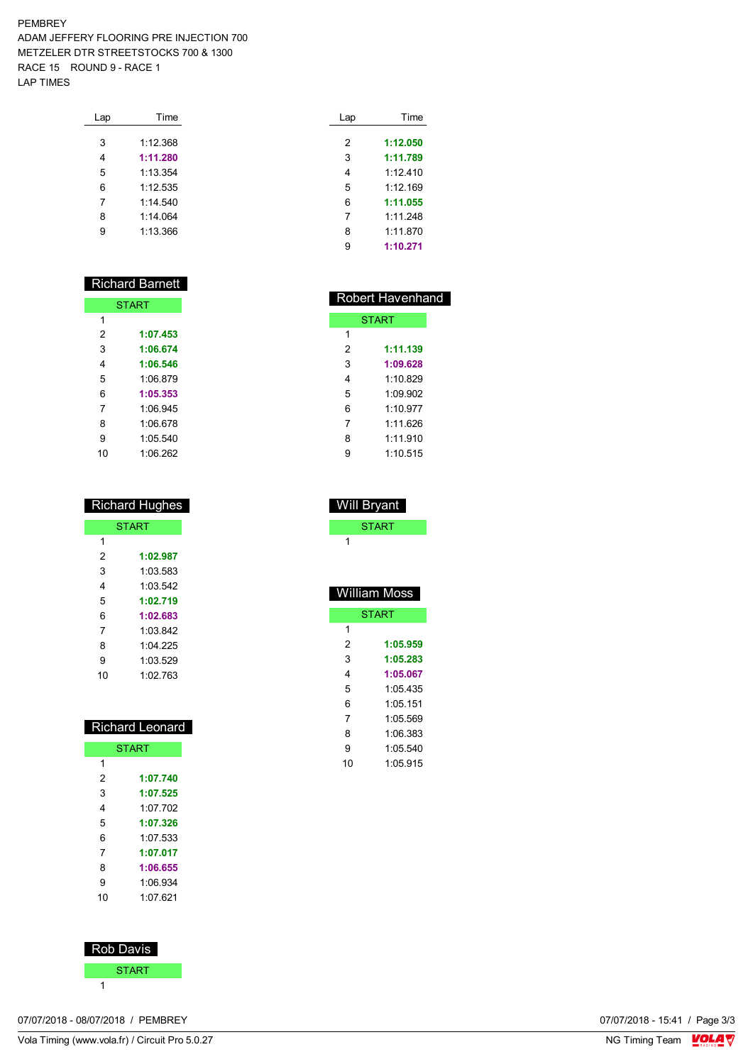### PEMBREY ADAM JEFFERY FLOORING PRE INJECTION 700 METZELER DTR STREETSTOCKS 700 & 1300 RACE 15 ROUND 9 - RACE 1 LAP TIMES

| Lap | Time     |  |
|-----|----------|--|
|     |          |  |
| 3   | 1:12.368 |  |
| 4   | 1:11.280 |  |
| 5   | 1:13.354 |  |
| 6   | 1:12.535 |  |
| 7   | 1:14.540 |  |
| 8   | 1.14064  |  |
| g   | 1.13.366 |  |
|     |          |  |

# Richard Barnett

| <b>START</b> |          |
|--------------|----------|
| 1            |          |
| 2            | 1:07.453 |
| 3            | 1:06.674 |
| 4            | 1:06.546 |
| 5            | 1:06.879 |
| 6            | 1:05.353 |
| 7            | 1:06.945 |
| 8            | 1:06.678 |
| 9            | 1:05.540 |
| 10           | 1:06.262 |

| <b>Richard Hughes</b> |          |  |
|-----------------------|----------|--|
| <b>START</b>          |          |  |
| 1                     |          |  |
| 2                     | 1:02.987 |  |
| 3                     | 1.03.583 |  |
| 4                     | 1:03.542 |  |
| 5                     | 1:02.719 |  |
| 6                     | 1:02.683 |  |
| 7                     | 1:03.842 |  |
| 8                     | 1:04.225 |  |
| 9                     | 1:03.529 |  |
| 10                    | 1.02.763 |  |

| <b>Richard Leonard</b> |              |  |
|------------------------|--------------|--|
|                        | <b>START</b> |  |
| 1                      |              |  |
| 2                      | 1:07.740     |  |
| 3                      | 1:07.525     |  |
| 4                      | 1.07 702     |  |
| 5                      | 1:07.326     |  |
| 6                      | 1:07.533     |  |
| 7                      | 1:07.017     |  |
| 8                      | 1:06.655     |  |
| 9                      | 1:06.934     |  |
| 10                     | 1.07.621     |  |
|                        |              |  |



| 07/07/2018 - 08/07/2018 / PEMBREY | 07/07/2018 - 15:41 / Page 3/3 |
|-----------------------------------|-------------------------------|
|-----------------------------------|-------------------------------|

| Lap | Time     |
|-----|----------|
|     |          |
| 2   | 1:12.050 |
| 3   | 1:11.789 |
| 4   | 1.12410  |
| 5   | 1.12 169 |
| 6   | 1:11.055 |
| 7   | 1.11248  |
| 8   | 1:11.870 |
| 9   | 1:10,271 |
|     |          |

|   | <b>Robert Havenhand</b> |
|---|-------------------------|
|   | <b>START</b>            |
| 1 |                         |
| 2 | 1:11.139                |
| 3 | 1:09.628                |
| 4 | 1.10829                 |
| 5 | 1.09.902                |
| 6 | 1:10.977                |
| 7 | 1.11626                 |
| 8 | 1.11910                 |
| g | 1.10515                 |
|   |                         |

| START        |
|--------------|
| 1            |
|              |
|              |
| William Moss |
| <b>START</b> |

Will Bryant

| 1  |          |
|----|----------|
| 2  | 1:05.959 |
| 3  | 1:05.283 |
| 4  | 1:05.067 |
| 5  | 1 05 435 |
| 6  | 1.0511   |
| 7  | 1:05.569 |
| 8  | 1:06.383 |
| g  | 1:05.540 |
| 10 | 1:05.915 |
|    |          |